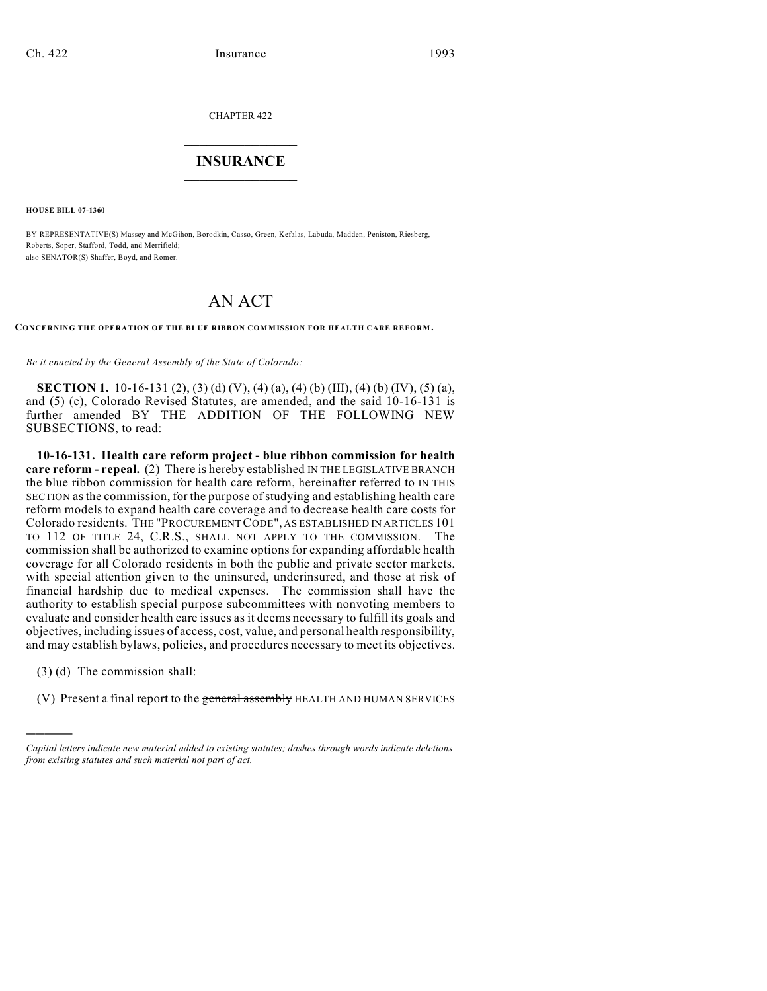CHAPTER 422

## $\mathcal{L}_\text{max}$  . The set of the set of the set of the set of the set of the set of the set of the set of the set of the set of the set of the set of the set of the set of the set of the set of the set of the set of the set **INSURANCE**  $\frac{1}{2}$  ,  $\frac{1}{2}$  ,  $\frac{1}{2}$  ,  $\frac{1}{2}$  ,  $\frac{1}{2}$  ,  $\frac{1}{2}$  ,  $\frac{1}{2}$

**HOUSE BILL 07-1360**

BY REPRESENTATIVE(S) Massey and McGihon, Borodkin, Casso, Green, Kefalas, Labuda, Madden, Peniston, Riesberg, Roberts, Soper, Stafford, Todd, and Merrifield; also SENATOR(S) Shaffer, Boyd, and Romer.

## AN ACT

**CONCERNING THE OPERATION OF THE BLUE RIBBON COMMISSION FOR HEALTH CARE REFORM.**

*Be it enacted by the General Assembly of the State of Colorado:*

**SECTION 1.** 10-16-131 (2), (3) (d) (V), (4) (a), (4) (b) (III), (4) (b) (IV), (5) (a), and (5) (c), Colorado Revised Statutes, are amended, and the said 10-16-131 is further amended BY THE ADDITION OF THE FOLLOWING NEW SUBSECTIONS, to read:

**10-16-131. Health care reform project - blue ribbon commission for health care reform - repeal.** (2) There is hereby established IN THE LEGISLATIVE BRANCH the blue ribbon commission for health care reform, hereinafter referred to IN THIS SECTION as the commission, for the purpose of studying and establishing health care reform models to expand health care coverage and to decrease health care costs for Colorado residents. THE "PROCUREMENT CODE", AS ESTABLISHED IN ARTICLES 101 TO 112 OF TITLE 24, C.R.S., SHALL NOT APPLY TO THE COMMISSION. The commission shall be authorized to examine options for expanding affordable health coverage for all Colorado residents in both the public and private sector markets, with special attention given to the uninsured, underinsured, and those at risk of financial hardship due to medical expenses. The commission shall have the authority to establish special purpose subcommittees with nonvoting members to evaluate and consider health care issues as it deems necessary to fulfill its goals and objectives, including issues of access, cost, value, and personal health responsibility, and may establish bylaws, policies, and procedures necessary to meet its objectives.

(3) (d) The commission shall:

)))))

(V) Present a final report to the general assembly HEALTH AND HUMAN SERVICES

*Capital letters indicate new material added to existing statutes; dashes through words indicate deletions from existing statutes and such material not part of act.*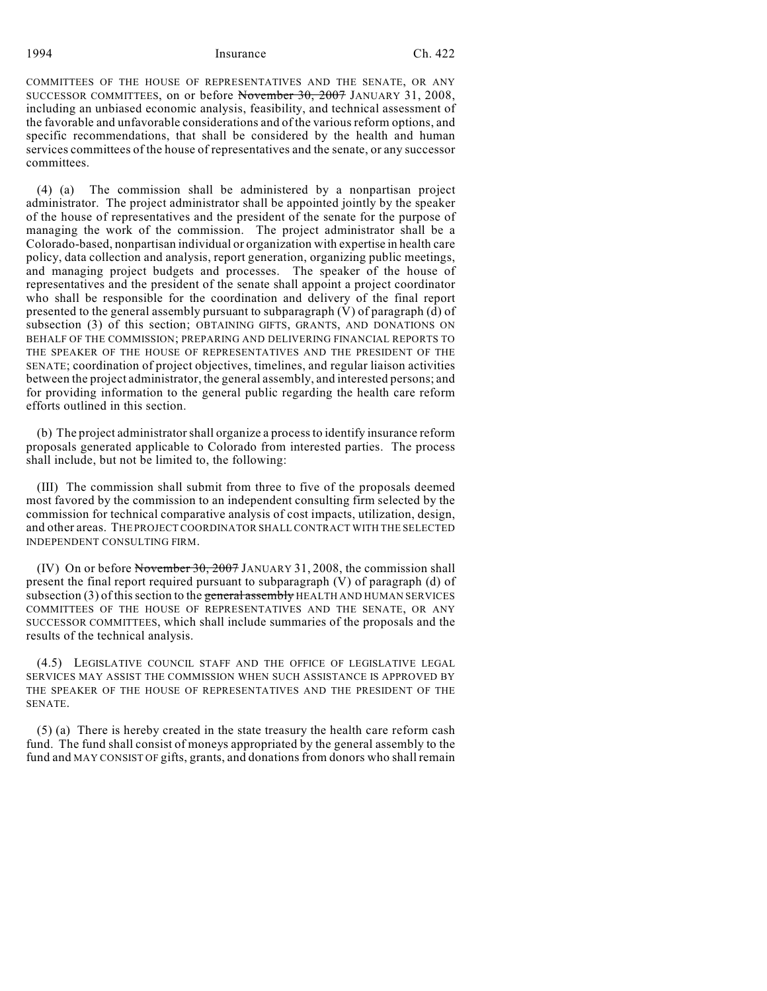## 1994 Insurance Ch. 422

COMMITTEES OF THE HOUSE OF REPRESENTATIVES AND THE SENATE, OR ANY SUCCESSOR COMMITTEES, on or before November 30, 2007 JANUARY 31, 2008, including an unbiased economic analysis, feasibility, and technical assessment of the favorable and unfavorable considerations and of the various reform options, and specific recommendations, that shall be considered by the health and human services committees of the house of representatives and the senate, or any successor committees.

(4) (a) The commission shall be administered by a nonpartisan project administrator. The project administrator shall be appointed jointly by the speaker of the house of representatives and the president of the senate for the purpose of managing the work of the commission. The project administrator shall be a Colorado-based, nonpartisan individual or organization with expertise in health care policy, data collection and analysis, report generation, organizing public meetings, and managing project budgets and processes. The speaker of the house of representatives and the president of the senate shall appoint a project coordinator who shall be responsible for the coordination and delivery of the final report presented to the general assembly pursuant to subparagraph (V) of paragraph (d) of subsection (3) of this section; OBTAINING GIFTS, GRANTS, AND DONATIONS ON BEHALF OF THE COMMISSION; PREPARING AND DELIVERING FINANCIAL REPORTS TO THE SPEAKER OF THE HOUSE OF REPRESENTATIVES AND THE PRESIDENT OF THE SENATE; coordination of project objectives, timelines, and regular liaison activities between the project administrator, the general assembly, and interested persons; and for providing information to the general public regarding the health care reform efforts outlined in this section.

(b) The project administrator shall organize a process to identify insurance reform proposals generated applicable to Colorado from interested parties. The process shall include, but not be limited to, the following:

(III) The commission shall submit from three to five of the proposals deemed most favored by the commission to an independent consulting firm selected by the commission for technical comparative analysis of cost impacts, utilization, design, and other areas. THE PROJECT COORDINATOR SHALL CONTRACT WITH THE SELECTED INDEPENDENT CONSULTING FIRM.

(IV) On or before November 30, 2007 JANUARY 31, 2008, the commission shall present the final report required pursuant to subparagraph (V) of paragraph (d) of subsection (3) of this section to the general assembly HEALTH AND HUMAN SERVICES COMMITTEES OF THE HOUSE OF REPRESENTATIVES AND THE SENATE, OR ANY SUCCESSOR COMMITTEES, which shall include summaries of the proposals and the results of the technical analysis.

(4.5) LEGISLATIVE COUNCIL STAFF AND THE OFFICE OF LEGISLATIVE LEGAL SERVICES MAY ASSIST THE COMMISSION WHEN SUCH ASSISTANCE IS APPROVED BY THE SPEAKER OF THE HOUSE OF REPRESENTATIVES AND THE PRESIDENT OF THE SENATE.

(5) (a) There is hereby created in the state treasury the health care reform cash fund. The fund shall consist of moneys appropriated by the general assembly to the fund and MAY CONSIST OF gifts, grants, and donations from donors who shall remain